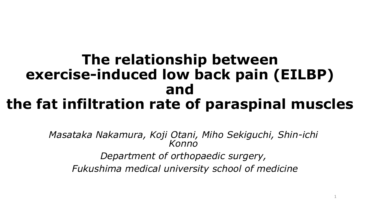#### **The relationship between exercise-induced low back pain (EILBP) and the fat infiltration rate of paraspinal muscles**

*Masataka Nakamura, Koji Otani, Miho Sekiguchi, Shin-ichi Konno Department of orthopaedic surgery, Fukushima medical university school of medicine*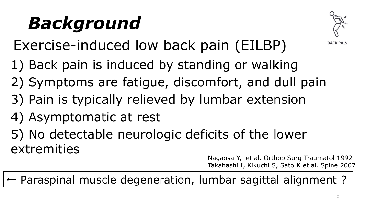## *Background*



**BACK PAIN** 

Exercise-induced low back pain (EILBP)

- 1) Back pain is induced by standing or walking
- 2) Symptoms are fatigue, discomfort, and dull pain
- 3) Pain is typically relieved by lumbar extension
- 4) Asymptomatic at rest

5) No detectable neurologic deficits of the lower extremities

Nagaosa Y, et al. Orthop Surg Traumatol 1992 Takahashi I, Kikuchi S, Sato K et al. Spine 2007

← Paraspinal muscle degeneration, lumbar sagittal alignment ?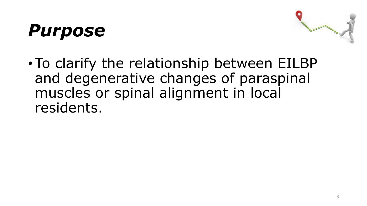## *Purpose*



•To clarify the relationship between EILBP and degenerative changes of paraspinal muscles or spinal alignment in local residents.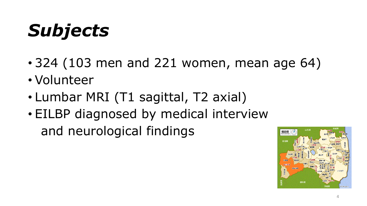# *Subjects*

- 324 (103 men and 221 women, mean age 64)
- Volunteer
- Lumbar MRI (T1 sagittal, T2 axial)
- EILBP diagnosed by medical interview and neurological findings

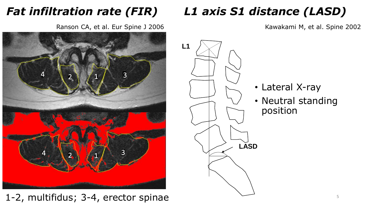#### *Fat infiltration rate (FIR)*

Ranson CA, et al. Eur Spine J 2006



#### 1-2, multifidus; 3-4, erector spinae

#### *L1 axis S1 distance (LASD)*

Kawakami M, et al. Spine 2002



- Lateral X-ray
- Neutral standing position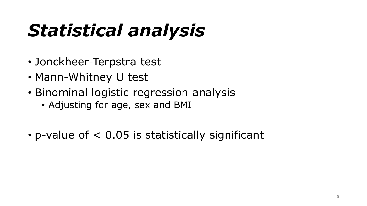# *Statistical analysis*

- Jonckheer-Terpstra test
- Mann-Whitney U test
- Binominal logistic regression analysis
	- Adjusting for age, sex and BMI
- p-value of < 0.05 is statistically significant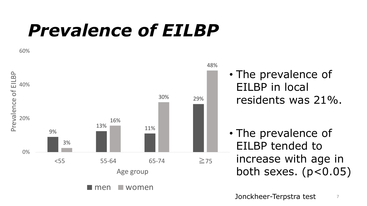## *Prevalence of EILBP*

60%



• The prevalence of EILBP in local

residents was 21%.

• The prevalence of EILBP tended to increase with age in both sexes.  $(p<0.05)$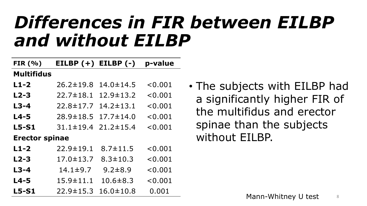### *Differences in FIR between EILBP and without EILBP*

| FIR $(% )$            | EILBP $(+)$ EILBP $(-)$ |                 | p-value |  |  |
|-----------------------|-------------------------|-----------------|---------|--|--|
| <b>Multifidus</b>     |                         |                 |         |  |  |
| $L1-2$                | $26.2 \pm 19.8$         | $14.0 \pm 14.5$ | < 0.001 |  |  |
| $L2-3$                | $22.7 \pm 18.1$         | $12.9 \pm 13.2$ | < 0.001 |  |  |
| $L3-4$                | $22.8 \pm 17.7$         | $14.2 \pm 13.1$ | < 0.001 |  |  |
| $L4-5$                | $28.9 \pm 18.5$         | $17.7 \pm 14.0$ | < 0.001 |  |  |
| $L5-S1$               | $31.1 \pm 19.4$         | $21.2 \pm 15.4$ | < 0.001 |  |  |
| <b>Erector spinae</b> |                         |                 |         |  |  |
| $L1-2$                | $22.9 \pm 19.1$         | $8.7 \pm 11.5$  | < 0.001 |  |  |
| $L2-3$                | $17.0 \pm 13.7$         | $8.3 \pm 10.3$  | < 0.001 |  |  |
| $L3-4$                | $14.1 \pm 9.7$          | $9.2 \pm 8.9$   | < 0.001 |  |  |
| $L4-5$                | $15.9 \pm 11.1$         | $10.6 \pm 8.3$  | < 0.001 |  |  |
| $L5-S1$               | $22.9 \pm 15.3$         | $16.0 \pm 10.8$ | 0.001   |  |  |

• The subjects with EILBP had a significantly higher FIR of the multifidus and erector spinae than the subjects without EILBP.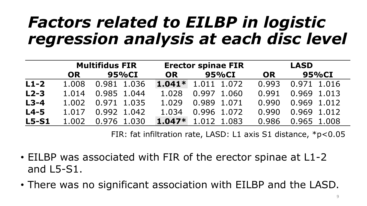### *Factors related to EILBP in logistic regression analysis at each disc level*

|         | <b>Multifidus FIR</b> |             | <b>Erector spinae FIR</b> |             | <b>LASD</b> |             |
|---------|-----------------------|-------------|---------------------------|-------------|-------------|-------------|
|         | <b>OR</b>             | 95%CI       | <b>OR</b>                 | 95%CI       | OR          | 95%CI       |
| $L1-2$  | 1.008                 | 0.981 1.036 | $1.041*$                  | 1.011 1.072 | 0.993       | 0.971 1.016 |
| $L2-3$  | 1.014                 | 0.985 1.044 | 1.028                     | 0.997 1.060 | 0.991       | 0.969 1.013 |
| $L3-4$  | 1.002                 | 0.971 1.035 | 1.029                     | 0.989 1.071 | 0.990       | 0.969 1.012 |
| $L4-5$  | 1.017                 | 0.992 1.042 | 1.034                     | 0.996 1.072 | 0.990       | 0.969 1.012 |
| $L5-S1$ | 1.002                 | 0.976 1.030 | $1.047*$                  | 1.012 1.083 | 0.986       | 0.965 1.008 |

FIR: fat infiltration rate, LASD: L1 axis S1 distance, \*p<0.05

- EILBP was associated with FIR of the erector spinae at L1-2 and L5-S1.
- There was no significant association with EILBP and the LASD.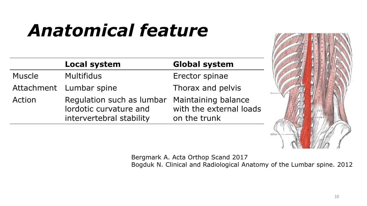## *Anatomical feature*

|               | <b>Local system</b>                                                             | <b>Global system</b>                                           |
|---------------|---------------------------------------------------------------------------------|----------------------------------------------------------------|
| <b>Muscle</b> | <b>Multifidus</b>                                                               | Erector spinae                                                 |
|               | Attachment Lumbar spine                                                         | Thorax and pelvis                                              |
| Action        | Regulation such as lumbar<br>lordotic curvature and<br>intervertebral stability | Maintaining balance<br>with the external loads<br>on the trunk |



Bergmark A. Acta Orthop Scand 2017 Bogduk N. Clinical and Radiological Anatomy of the Lumbar spine. 2012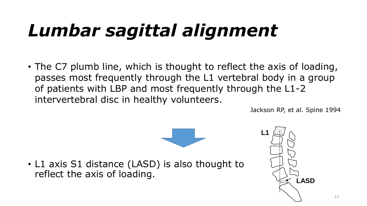## *Lumbar sagittal alignment*

• The C7 plumb line, which is thought to reflect the axis of loading, passes most frequently through the L1 vertebral body in a group of patients with LBP and most frequently through the L1-2 intervertebral disc in healthy volunteers.

Jackson RP, et al. Spine 1994



• L1 axis S1 distance (LASD) is also thought to reflect the axis of loading.

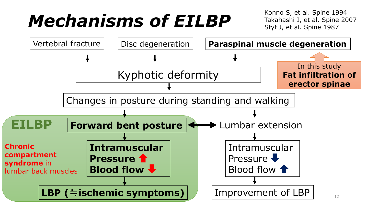## *Mechanisms of EILBP*

Konno S, et al. Spine 1994 Takahashi I, et al. Spine 2007 Styf J, et al. Spine 1987

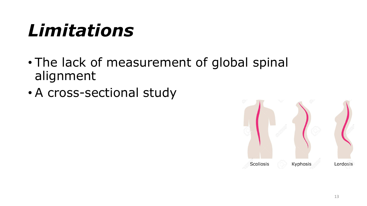## *Limitations*

- The lack of measurement of global spinal alignment
- A cross-sectional study

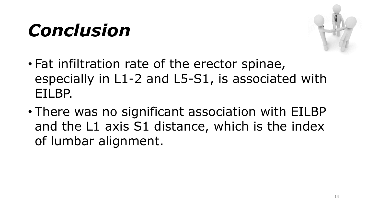## *Conclusion*



- Fat infiltration rate of the erector spinae, especially in L1-2 and L5-S1, is associated with EILBP.
- There was no significant association with EILBP and the L1 axis S1 distance, which is the index of lumbar alignment.